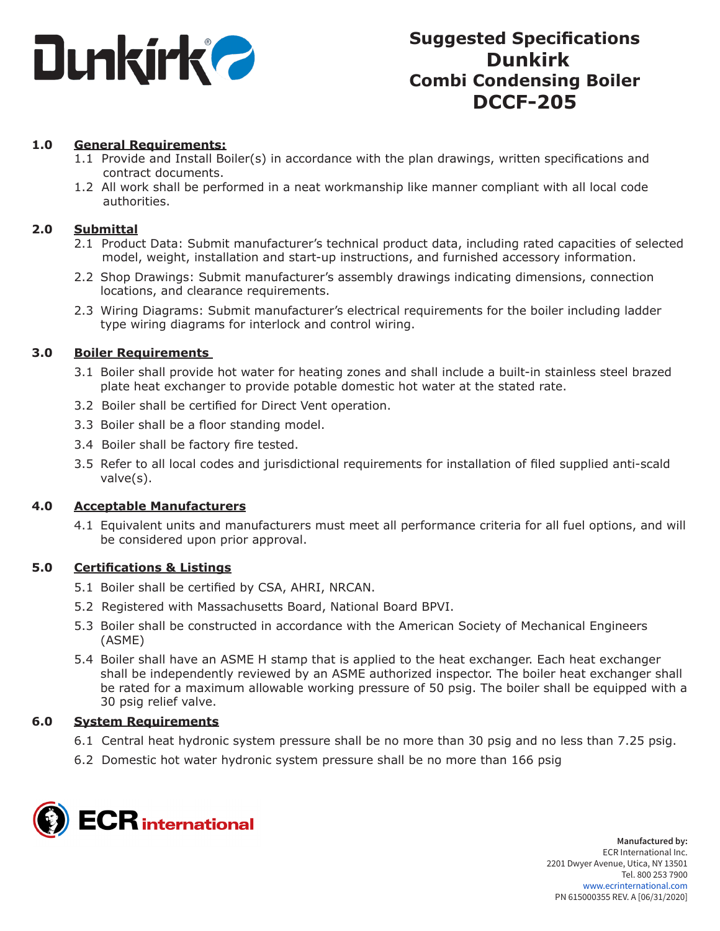

## **1.0 General Requirements:**

- 1.1 Provide and Install Boiler(s) in accordance with the plan drawings, written specifications and contract documents.
- 1.2 All work shall be performed in a neat workmanship like manner compliant with all local code authorities.

## **2.0 Submittal**

- 2.1 Product Data: Submit manufacturer's technical product data, including rated capacities of selected model, weight, installation and start-up instructions, and furnished accessory information.
- 2.2 Shop Drawings: Submit manufacturer's assembly drawings indicating dimensions, connection locations, and clearance requirements.
- 2.3 Wiring Diagrams: Submit manufacturer's electrical requirements for the boiler including ladder type wiring diagrams for interlock and control wiring.

## **3.0 Boiler Requirements**

- 3.1 Boiler shall provide hot water for heating zones and shall include a built-in stainless steel brazed plate heat exchanger to provide potable domestic hot water at the stated rate.
- 3.2 Boiler shall be certified for Direct Vent operation.
- 3.3 Boiler shall be a floor standing model.
- 3.4 Boiler shall be factory fire tested.
- 3.5 Refer to all local codes and jurisdictional requirements for installation of filed supplied anti-scald valve(s).

### **4.0 Acceptable Manufacturers**

4.1 Equivalent units and manufacturers must meet all performance criteria for all fuel options, and will be considered upon prior approval.

### **5.0 Certifications & Listings**

- 5.1 Boiler shall be certified by CSA, AHRI, NRCAN.
- 5.2 Registered with Massachusetts Board, National Board BPVI.
- 5.3 Boiler shall be constructed in accordance with the American Society of Mechanical Engineers (ASME)
- 5.4 Boiler shall have an ASME H stamp that is applied to the heat exchanger. Each heat exchanger shall be independently reviewed by an ASME authorized inspector. The boiler heat exchanger shall be rated for a maximum allowable working pressure of 50 psig. The boiler shall be equipped with a 30 psig relief valve.

### **6.0 System Requirements**

- 6.1 Central heat hydronic system pressure shall be no more than 30 psig and no less than 7.25 psig.
- 6.2 Domestic hot water hydronic system pressure shall be no more than 166 psig

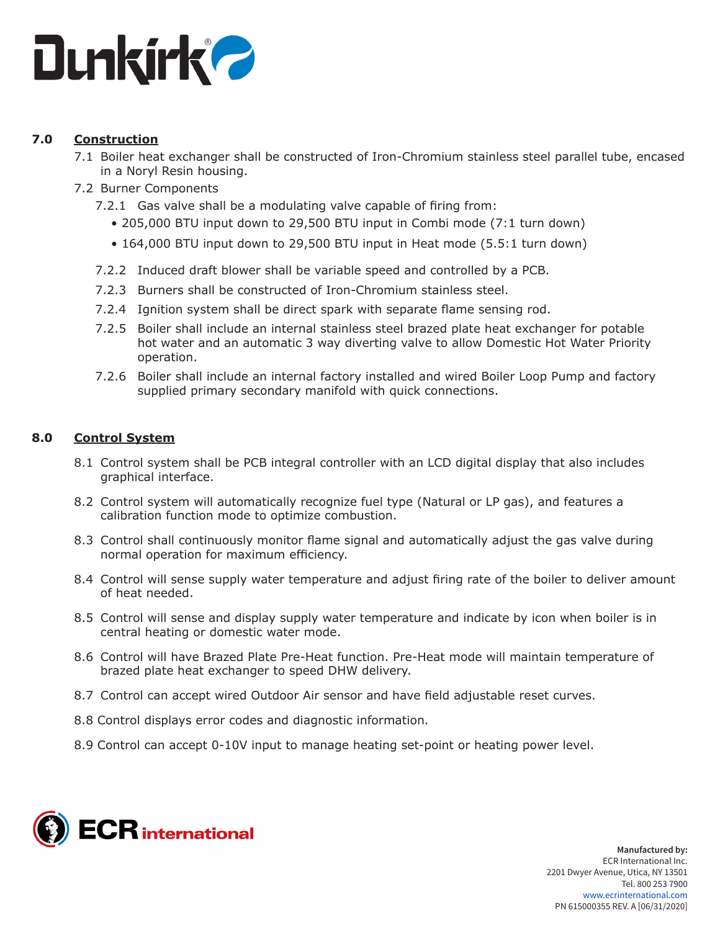

# **7.0 Construction**

- 7.1 Boiler heat exchanger shall be constructed of Iron-Chromium stainless steel parallel tube, encased in a Noryl Resin housing.
- 7.2 Burner Components
	- 7.2.1 Gas valve shall be a modulating valve capable of firing from:
		- 205,000 BTU input down to 29,500 BTU input in Combi mode (7:1 turn down)
		- 164,000 BTU input down to 29,500 BTU input in Heat mode (5.5:1 turn down)
	- 7.2.2 Induced draft blower shall be variable speed and controlled by a PCB.
	- 7.2.3 Burners shall be constructed of Iron-Chromium stainless steel.
	- 7.2.4 Ignition system shall be direct spark with separate flame sensing rod.
	- 7.2.5 Boiler shall include an internal stainless steel brazed plate heat exchanger for potable hot water and an automatic 3 way diverting valve to allow Domestic Hot Water Priority operation.
	- 7.2.6 Boiler shall include an internal factory installed and wired Boiler Loop Pump and factory supplied primary secondary manifold with quick connections.

# **8.0 Control System**

- 8.1 Control system shall be PCB integral controller with an LCD digital display that also includes graphical interface.
- 8.2 Control system will automatically recognize fuel type (Natural or LP gas), and features a calibration function mode to optimize combustion.
- 8.3 Control shall continuously monitor flame signal and automatically adjust the gas valve during normal operation for maximum efficiency.
- 8.4 Control will sense supply water temperature and adjust firing rate of the boiler to deliver amount of heat needed.
- 8.5 Control will sense and display supply water temperature and indicate by icon when boiler is in central heating or domestic water mode.
- 8.6 Control will have Brazed Plate Pre-Heat function. Pre-Heat mode will maintain temperature of brazed plate heat exchanger to speed DHW delivery.
- 8.7 Control can accept wired Outdoor Air sensor and have field adjustable reset curves.
- 8.8 Control displays error codes and diagnostic information.
- 8.9 Control can accept 0-10V input to manage heating set-point or heating power level.